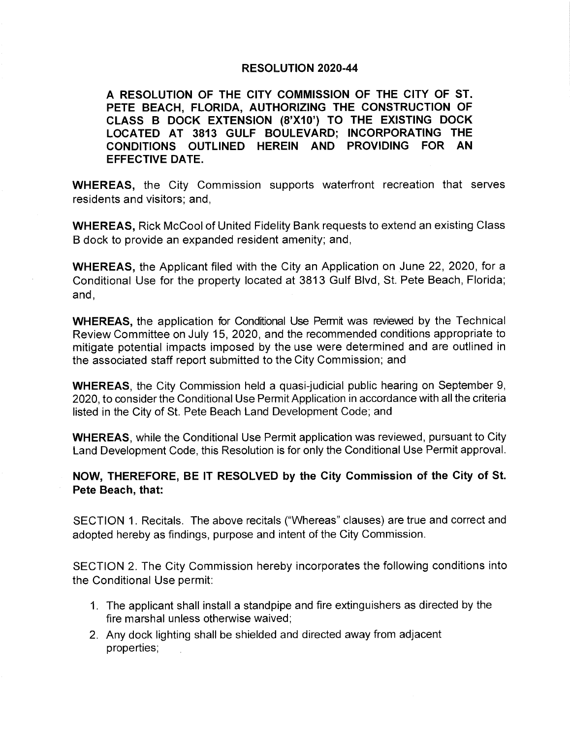### RESOLUTION 2020-44

A RESOLUTION OF THE CITY COMMISSION OF THE CITY OF ST. PETE BEACH, FLORIDA, AUTHORIZING THE CONSTRUCTION OF CLASS B DOCK EXTENSION (8'X10') TO THE EXISTING DOCK LOCATED AT 3813 GULF BOULEVARD; INCORPORATING THE CONDITIONS OUTLINED HEREIN AND PROVIDING FOR AN EFFECTIVE DATE.

WHEREAS, the City Commission supports waterfront recreation that serves residents and visitors; and,

WHEREAS, Rick McCool of United Fidelity Bank requests to extend an existing Class B dock to provide an expanded resident amenity; and,

WHEREAS, the Applicant filed with the City an Application on June 22, 2020, for a Conditional Use for the property located at 3813 Gulf Blvd, St. Pete Beach, Florida; and,

WHEREAS, the application for Conditional Use Permit was reviewed by the Technical Review Committee on July 15, 2020, and the recommended conditions appropriate to mitigate potential impacts imposed by the use were determined and are outlined in the associated staff report submitted to the City Commission; and

WHEREAS, the City Commission held a quasi-judicial public hearing on September 9, 2020, to consider the Conditional Use Permit Application in accordance with all the criteria listed in the City of St. Pete Beach Land Development Code; and

WHEREAS, while the Conditional Use Permit application was reviewed, pursuant to City Land Development Code, this Resolution is for only the Conditional Use Permit approval.

### NOW, THEREFORE, BE IT RESOLVED by the City Commission of the City of St. Pete Beach, that:

SECTION 1. Recitals. The above recitals (" Whereas" clauses) are true and correct and adopted hereby as findings, purpose and intent of the City Commission.

SECTION 2. The City Commission hereby incorporates the following conditions into the Conditional Use permit:

- 1. The applicant shall install a standpipe and fire extinguishers as directed by the fire marshal unless otherwise waived;
- 2. Any dock lighting shall be shielded and directed away from adjacent properties,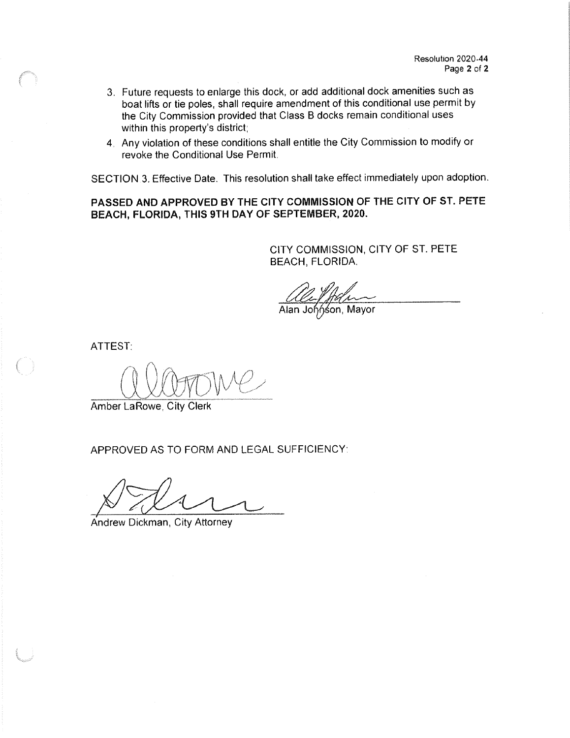- 3. Future requests to enlarge this dock, or add additional dock amenities such as boat lifts or tie poles, shall require amendment of this conditional use permit by the City Commission provided that Class B docks remain conditional uses within this property's district;
- 4 Any violation of these conditions shall entitle the City Commission to modify or revoke the Conditional Use Permit.

SECTION 3. Effective Date. This resolution shall take effect immediately upon adoption.

PASSED AND APPROVED BY THE CITY COMMISSION OF THE CITY OF ST. PETE BEACH, FLORIDA, THIS 9TH DAY OF SEPTEMBER, 2020.

> CITY COMMISSION, CITY OF ST. PETE BEACH, FLORIDA.

*Colle Miller*<br>Alan Johnson, Mayor

ATTEST:

f I YLLWUW t

Amber La Rowe, City Clerk

APPROVED AS TO FORM AND LEGAL SUFFICIENCY

Andrew Dickman, City Attorney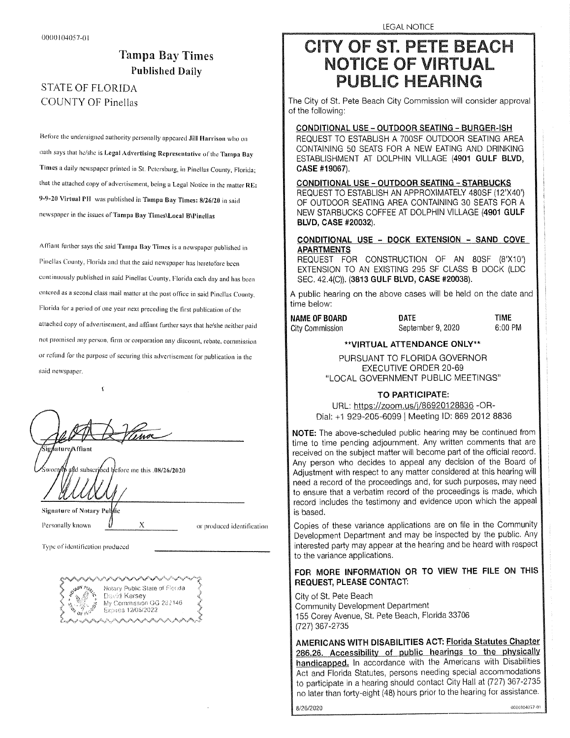## Tampa Bay Times Published Daily

### STATE OF FLORIDA COUNTY OF Pinellas

Before the undersigned authority personally appeared Jill Harrison who on oath says that he/she is Legal Advertising Representative of the Tampa Bay Times a daily newspaper printed in St. Petersburg, in Pinellas County, Florida; that the attached copy of advertisement, being a Legal Notice in the matter RE: 9-9-20 Virtual PH was published in Tampa Bay Times: 8/26/20 in said newspaper in the issues of Tampa Bay Times\ Local B\ Pinellas

Affiant further says the said Tampa Bay Times is a newspaper published m Pinellas County, Florida and that the said newspaper has heretofore been continuously published in said Pinellas County, Florida each day and has been entered as a second class mail matter at the post office in said Pinellas County, Florida for a period of one year next preceding the first publication of the attached copy of advertisement, and affiant further says that he/she neither paid not promised any person, firm or corporation any discount, rebate. commission or refund for the purpose of securing this adverliscnient for publication in the said newspaper.

ø Signature Affiant

 $\mathbf{f}$ 

aftd subscribed lefore me this .08/26/2020

Signature of Notary

Personally known  $\begin{matrix} V & X \\ \end{matrix}$  or produced identification

Type of identification produced



LEGAL NOTICE

# **CITY OF ST. PETE BEACH NOTICE OF VIRTUAL PUBLIC HEARING**

The City of St. Pete Beach City Commission will consider approval of the following:

### CONDITIONAL USE - OUTDOOR SEATING - BURGER-ISH

REQUEST REQUEST TO TO ESTABLISH ESTABLISH AA 700SF 700SF OUTDOOR OUTDOOR SEATING SEATING AREA AREA CONTAINING CONTAINING 50 50 SEATS SEATS FOR FOR AA NEW NEW EATING EATING AND AND DRINKING DRINKING ESTABLISHMENT ESTABLISHMENT AT AT DOLPHIN DOLPHIN VILLAGE (VILLAGE ( 4901 4901 GULF GULF BLVD, BLVD, **CASE #19007** 

<u>CONDITIONAL OSE - OUTDOOR SEATING - STARBOORS</u> REQUEST TO ESTABLISH AN APPROXIMATELY 480SF (12'X40') OF OF OUTDOOR OUTDOOR SEATING SEATING AREA AREA CONTAINING CONTAINING 30 30 SEATS SEATS FOR FOR AA NEWNEW STARBUCKS STARBUCKS COFFEECOFFEE ATAT DOLPHINDOLPHIN VILLAGE (VILLAGE ( 49014901 GULFGULF  $B$ LV $D,$  Orol  $\pi$ *L*<sub>V</sub>

### <u>CONDITIONAL USE - DOCK EXTENSION - SAND COVE</u> APARTMENTS

REQUEST REQUEST FOR FOR CONSTRUCTION CONSTRUCTION OF OF AN AN 80SF (80SF ( 8'8' X10')X10') EXTENSION EXTENSION TOTO ANAN EXISTING EXISTING 295295 SFSF CLASSCLASS BB DOCK (DOCK ( LDCLDC  $SCC. 42.4(O)$ . (3813 GULF BLVD, CASE #20038).

A public hearing on the above cases will be held on the date and time below:

NAME OF BOARD BOATE DATE TIME City Commission September 9, 2020 000 City Commission

### \*\*VIRTUAL ATTENDANCE ONLY\*\*

PURSUANT TO FLORIDA GOVERNOR EXECUTIVE ORDER 20-69 "LOCAL GOVERNMENT PUBLIC MEETINGS"

### TO PARTICIPATE:

URL: https://zoom.us/j/86920128836 -OR-Dial: +1 929-205-6099 | Meeting ID: 869 2012 8836

NOTE: The above-scheduled public hearing may be continued from time to time pending adjournment. Any written comments that are received on the subject matter will become part of the official record. Any person who decides to appeal any decision of the Board of Adjustment with respect to any matter considered at this hearing will need a record of the proceedings and, for such purposes, may need to ensure that a verbatim record of the proceedings is made, which record includes the testimony and evidence upon which the appeal is based.

Copies of these variance applications are on file in the Community Development Department and may be inspected by the public. Any interested party may appear at the hearing and be heard with respect to the variance applications.

### FOR MORE INFORMATION OR TO VIEW THE FILE ON THIS REQUEST, PLEASE CONTACT:

City Of Oil Peter Beach Community Development Department 155155 CoreyCorey Avenue,Avenue, St.St. PetePete Beach,Beach, Florida Florida 33706 33706 (727) 367-2735

AMERICANS WITH DISABILITIES ACT: Florida Statutes Chapter 286.26. Accessibility of public hearings to the physically handicapped. In accordance with the Americans with Disabilities Act and Florida Statutes, persons needing special accommodations to participate in a hearing should contact City Hall at (727) 367-2735 no later than forty-eight (48) hours prior to the hearing for assistance.

 $8/26/2020$